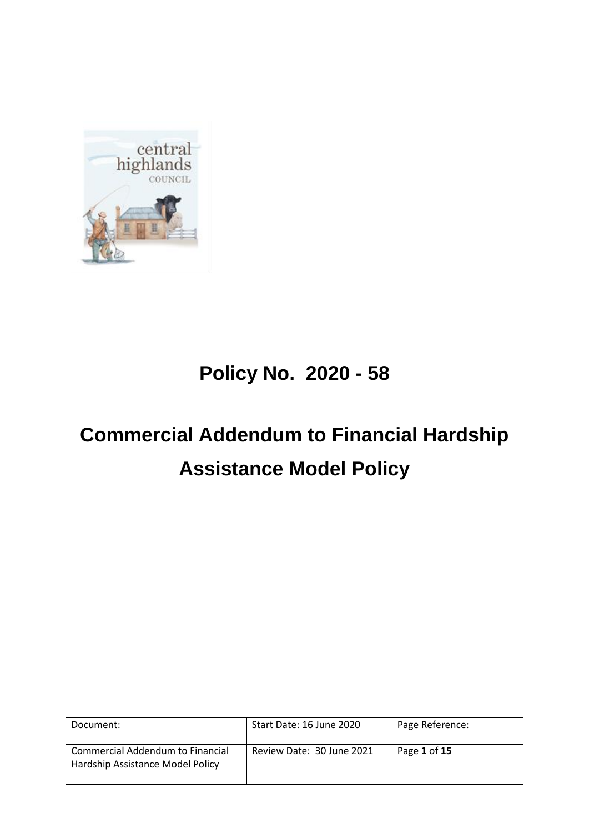

# **Policy No. 2020 - 58**

# **Commercial Addendum to Financial Hardship Assistance Model Policy**

| Document:                                                            | Start Date: 16 June 2020  | Page Reference: |
|----------------------------------------------------------------------|---------------------------|-----------------|
| Commercial Addendum to Financial<br>Hardship Assistance Model Policy | Review Date: 30 June 2021 | Page 1 of 15    |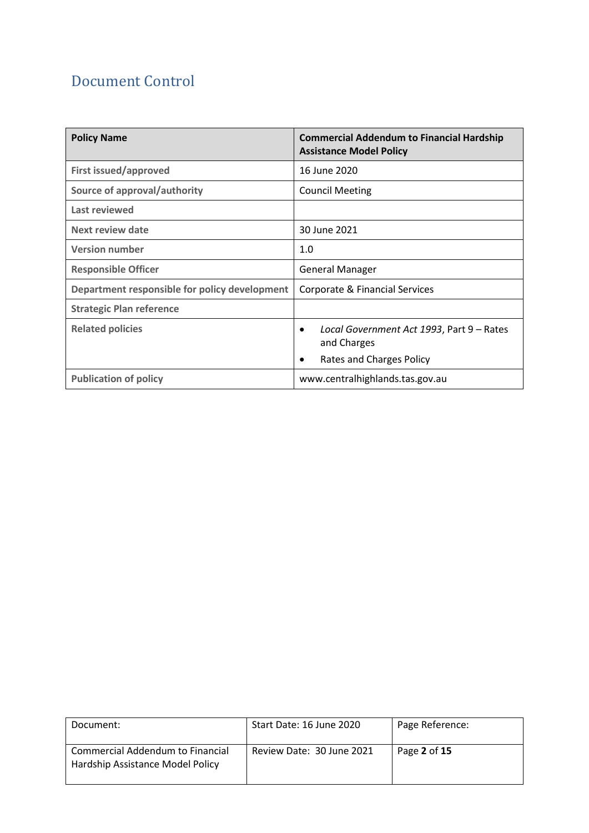# Document Control

| <b>Policy Name</b>                            | <b>Commercial Addendum to Financial Hardship</b><br><b>Assistance Model Policy</b>                     |
|-----------------------------------------------|--------------------------------------------------------------------------------------------------------|
| <b>First issued/approved</b>                  | 16 June 2020                                                                                           |
| Source of approval/authority                  | <b>Council Meeting</b>                                                                                 |
| Last reviewed                                 |                                                                                                        |
| Next review date                              | 30 June 2021                                                                                           |
| <b>Version number</b>                         | 1.0                                                                                                    |
| <b>Responsible Officer</b>                    | <b>General Manager</b>                                                                                 |
| Department responsible for policy development | Corporate & Financial Services                                                                         |
| <b>Strategic Plan reference</b>               |                                                                                                        |
| <b>Related policies</b>                       | Local Government Act 1993, Part 9 - Rates<br>$\bullet$<br>and Charges<br>Rates and Charges Policy<br>٠ |
| <b>Publication of policy</b>                  | www.centralhighlands.tas.gov.au                                                                        |

| Document:                                                            | Start Date: 16 June 2020  | Page Reference: |
|----------------------------------------------------------------------|---------------------------|-----------------|
| Commercial Addendum to Financial<br>Hardship Assistance Model Policy | Review Date: 30 June 2021 | Page 2 of 15    |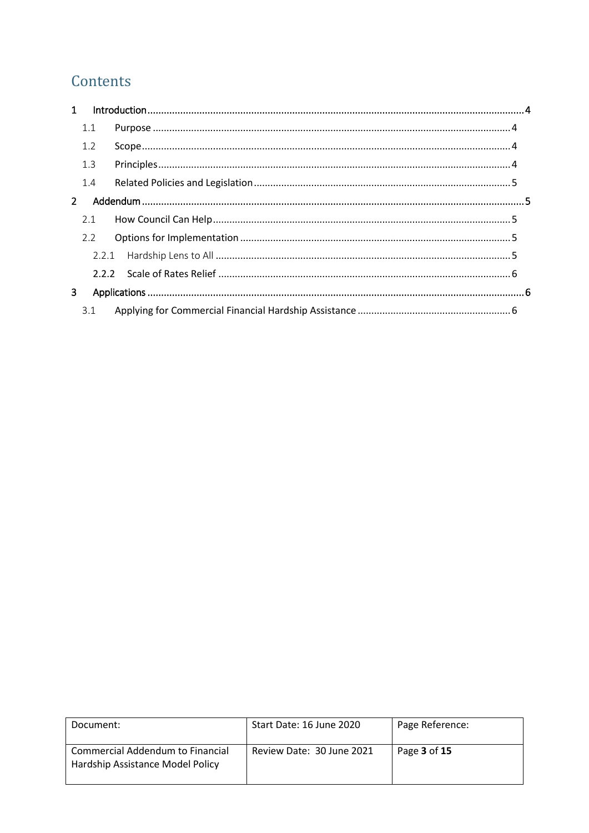# Contents

| $\mathbf{1}$ |     |  |
|--------------|-----|--|
|              | 1.1 |  |
|              | 1.2 |  |
|              | 1.3 |  |
|              | 1.4 |  |
| $2^{\circ}$  |     |  |
|              | 2.1 |  |
|              | 2.2 |  |
|              |     |  |
|              |     |  |
| 3            |     |  |
|              | 3.1 |  |

| Document:                                                            | Start Date: 16 June 2020  | Page Reference: |
|----------------------------------------------------------------------|---------------------------|-----------------|
| Commercial Addendum to Financial<br>Hardship Assistance Model Policy | Review Date: 30 June 2021 | Page 3 of 15    |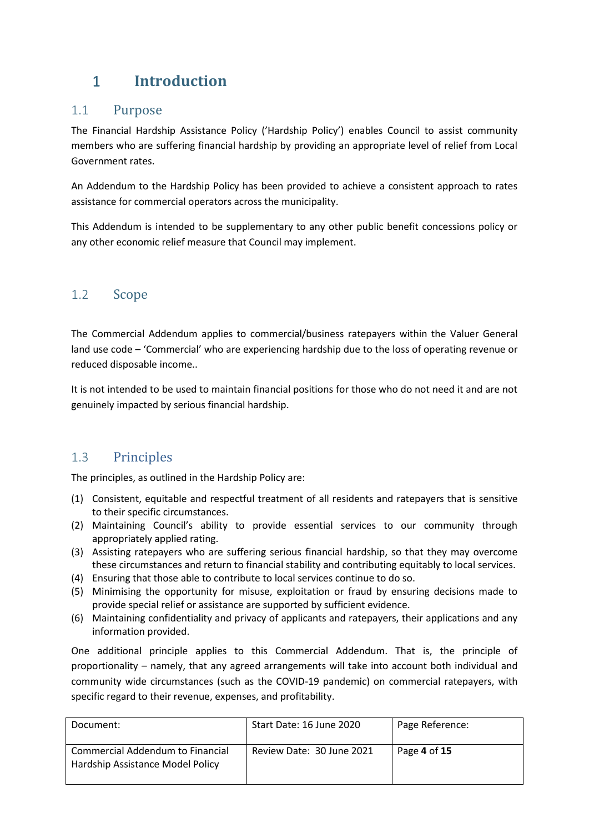# <span id="page-3-0"></span>1 **Introduction**

### <span id="page-3-1"></span>1.1 Purpose

The Financial Hardship Assistance Policy ('Hardship Policy') enables Council to assist community members who are suffering financial hardship by providing an appropriate level of relief from Local Government rates.

An Addendum to the Hardship Policy has been provided to achieve a consistent approach to rates assistance for commercial operators across the municipality.

This Addendum is intended to be supplementary to any other public benefit concessions policy or any other economic relief measure that Council may implement.

### <span id="page-3-2"></span>1.2 Scope

The Commercial Addendum applies to commercial/business ratepayers within the Valuer General land use code – 'Commercial' who are experiencing hardship due to the loss of operating revenue or reduced disposable income..

It is not intended to be used to maintain financial positions for those who do not need it and are not genuinely impacted by serious financial hardship.

### <span id="page-3-3"></span>1.3 Principles

The principles, as outlined in the Hardship Policy are:

- (1) Consistent, equitable and respectful treatment of all residents and ratepayers that is sensitive to their specific circumstances.
- (2) Maintaining Council's ability to provide essential services to our community through appropriately applied rating.
- (3) Assisting ratepayers who are suffering serious financial hardship, so that they may overcome these circumstances and return to financial stability and contributing equitably to local services.
- (4) Ensuring that those able to contribute to local services continue to do so.
- (5) Minimising the opportunity for misuse, exploitation or fraud by ensuring decisions made to provide special relief or assistance are supported by sufficient evidence.
- (6) Maintaining confidentiality and privacy of applicants and ratepayers, their applications and any information provided.

One additional principle applies to this Commercial Addendum. That is, the principle of proportionality – namely, that any agreed arrangements will take into account both individual and community wide circumstances (such as the COVID-19 pandemic) on commercial ratepayers, with specific regard to their revenue, expenses, and profitability.

| Document:                                                            | Start Date: 16 June 2020  | Page Reference: |
|----------------------------------------------------------------------|---------------------------|-----------------|
| Commercial Addendum to Financial<br>Hardship Assistance Model Policy | Review Date: 30 June 2021 | Page 4 of 15    |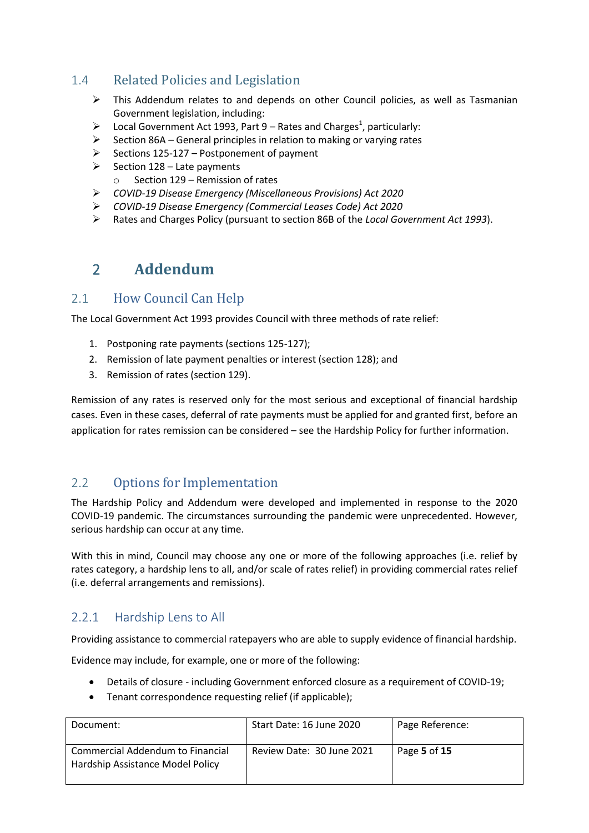### <span id="page-4-0"></span>1.4 Related Policies and Legislation

- $\triangleright$  This Addendum relates to and depends on other Council policies, as well as Tasmanian Government legislation, including:
- $\triangleright$  Local Government Act 1993, Part 9 Rates and Charges<sup>1</sup>, particularly:
- $\triangleright$  Section 86A General principles in relation to making or varying rates
- $\triangleright$  Sections 125-127 Postponement of payment
- $\triangleright$  Section 128 Late payments
	- o Section 129 Remission of rates
- *COVID-19 Disease Emergency (Miscellaneous Provisions) Act 2020*
- *COVID-19 Disease Emergency (Commercial Leases Code) Act 2020*
- Rates and Charges Policy (pursuant to section 86B of the *Local Government Act 1993*).

## <span id="page-4-1"></span>2 **Addendum**

### <span id="page-4-2"></span>2.1 How Council Can Help

The Local Government Act 1993 provides Council with three methods of rate relief:

- 1. Postponing rate payments (sections 125-127);
- 2. Remission of late payment penalties or interest (section 128); and
- 3. Remission of rates (section 129).

Remission of any rates is reserved only for the most serious and exceptional of financial hardship cases. Even in these cases, deferral of rate payments must be applied for and granted first, before an application for rates remission can be considered – see the Hardship Policy for further information.

### <span id="page-4-3"></span>2.2 Options for Implementation

The Hardship Policy and Addendum were developed and implemented in response to the 2020 COVID-19 pandemic. The circumstances surrounding the pandemic were unprecedented. However, serious hardship can occur at any time.

With this in mind, Council may choose any one or more of the following approaches (i.e. relief by rates category, a hardship lens to all, and/or scale of rates relief) in providing commercial rates relief (i.e. deferral arrangements and remissions).

### <span id="page-4-4"></span>2.2.1 Hardship Lens to All

Providing assistance to commercial ratepayers who are able to supply evidence of financial hardship.

Evidence may include, for example, one or more of the following:

- Details of closure including Government enforced closure as a requirement of COVID-19;
- Tenant correspondence requesting relief (if applicable);

| Document:                                                            | Start Date: 16 June 2020  | Page Reference: |
|----------------------------------------------------------------------|---------------------------|-----------------|
| Commercial Addendum to Financial<br>Hardship Assistance Model Policy | Review Date: 30 June 2021 | Page 5 of 15    |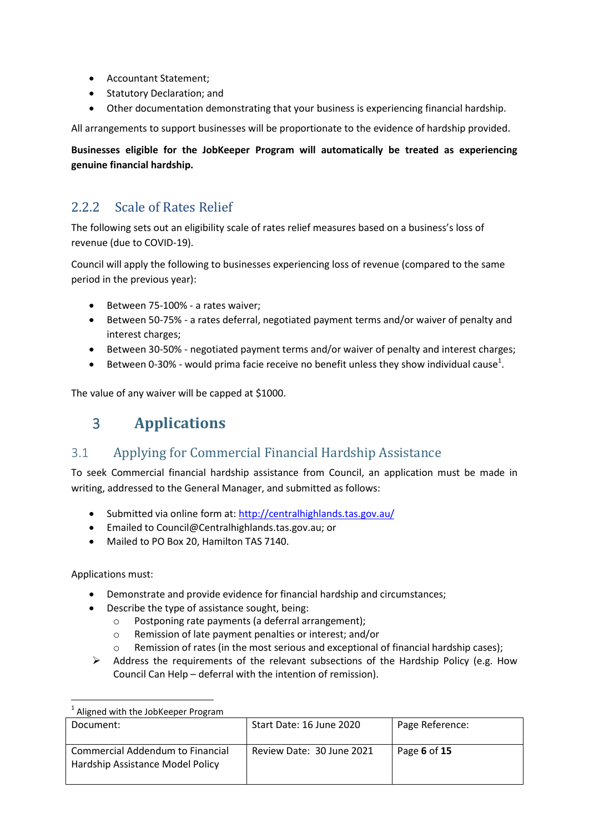- Accountant Statement;
- Statutory Declaration; and
- Other documentation demonstrating that your business is experiencing financial hardship.

All arrangements to support businesses will be proportionate to the evidence of hardship provided.

**Businesses eligible for the JobKeeper Program will automatically be treated as experiencing genuine financial hardship.** 

### <span id="page-5-0"></span>2.2.2 Scale of Rates Relief

The following sets out an eligibility scale of rates relief measures based on a business's loss of revenue (due to COVID-19).

Council will apply the following to businesses experiencing loss of revenue (compared to the same period in the previous year):

- Between 75-100% a rates waiver;
- Between 50-75% a rates deferral, negotiated payment terms and/or waiver of penalty and interest charges;
- Between 30-50% negotiated payment terms and/or waiver of penalty and interest charges;
- $\bullet$  Between 0-30% would prima facie receive no benefit unless they show individual cause<sup>1</sup>.

<span id="page-5-1"></span>The value of any waiver will be capped at \$1000.

## 3 **Applications**

### <span id="page-5-2"></span>3.1 Applying for Commercial Financial Hardship Assistance

To seek Commercial financial hardship assistance from Council, an application must be made in writing, addressed to the General Manager, and submitted as follows:

- Submitted via online form at:<http://centralhighlands.tas.gov.au/>
- **•** Emailed to Council@Centralhighlands.tas.gov.au; or
- Mailed to PO Box 20, Hamilton TAS 7140.

Applications must:

- Demonstrate and provide evidence for financial hardship and circumstances;
- Describe the type of assistance sought, being:
	- o Postponing rate payments (a deferral arrangement);
	- o Remission of late payment penalties or interest; and/or
	- o Remission of rates (in the most serious and exceptional of financial hardship cases);
- $\triangleright$  Address the requirements of the relevant subsections of the Hardship Policy (e.g. How Council Can Help – deferral with the intention of remission).

| Aligned with the JobKeeper Program                                   |                           |                 |
|----------------------------------------------------------------------|---------------------------|-----------------|
| Document:                                                            | Start Date: 16 June 2020  | Page Reference: |
| Commercial Addendum to Financial<br>Hardship Assistance Model Policy | Review Date: 30 June 2021 | Page 6 of 15    |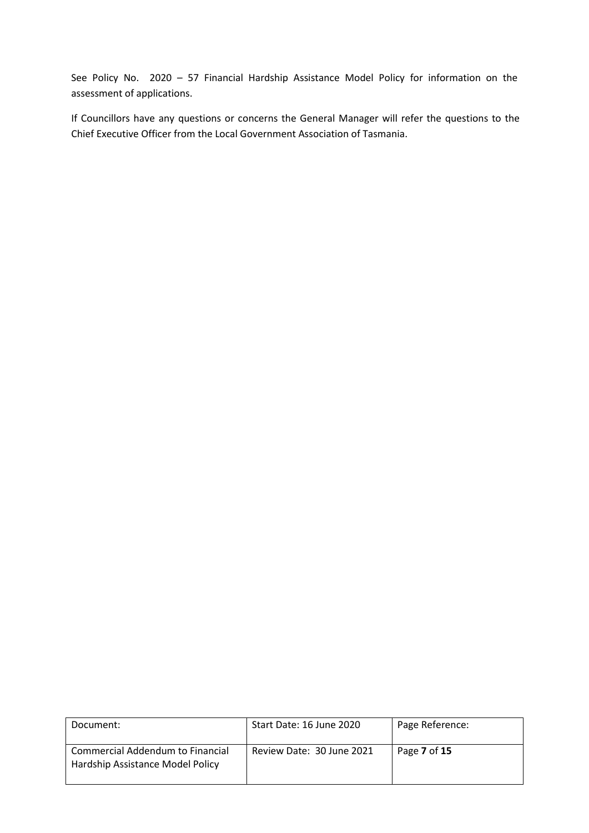See Policy No. 2020 – 57 Financial Hardship Assistance Model Policy for information on the assessment of applications.

If Councillors have any questions or concerns the General Manager will refer the questions to the Chief Executive Officer from the Local Government Association of Tasmania.

| Document:                                                            | Start Date: 16 June 2020  | Page Reference: |
|----------------------------------------------------------------------|---------------------------|-----------------|
| Commercial Addendum to Financial<br>Hardship Assistance Model Policy | Review Date: 30 June 2021 | Page 7 of 15    |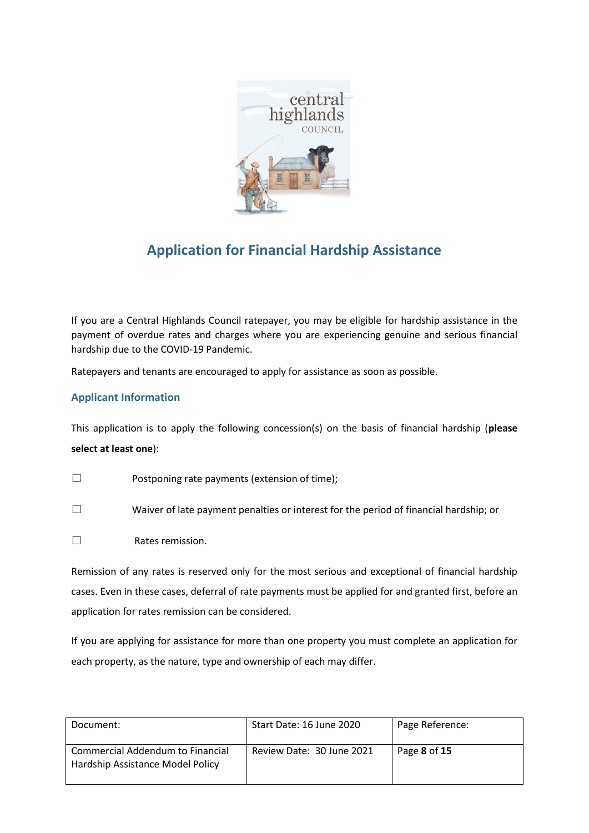

# **Application for Financial Hardship Assistance**

If you are a Central Highlands Council ratepayer, you may be eligible for hardship assistance in the payment of overdue rates and charges where you are experiencing genuine and serious financial hardship due to the COVID-19 Pandemic.

Ratepayers and tenants are encouraged to apply for assistance as soon as possible.

### **Applicant Information**

This application is to apply the following concession(s) on the basis of financial hardship (**please select at least one**):

- ☐ Postponing rate payments (extension of time);
- ☐ Waiver of late payment penalties or interest for the period of financial hardship; or
- ☐ Rates remission.

Remission of any rates is reserved only for the most serious and exceptional of financial hardship cases. Even in these cases, deferral of rate payments must be applied for and granted first, before an application for rates remission can be considered.

If you are applying for assistance for more than one property you must complete an application for each property, as the nature, type and ownership of each may differ.

| Document:                                                                          | Start Date: 16 June 2020  | Page Reference: |
|------------------------------------------------------------------------------------|---------------------------|-----------------|
| <b>Commercial Addendum to Financial</b><br><b>Hardship Assistance Model Policy</b> | Review Date: 30 June 2021 | Page 8 of 15    |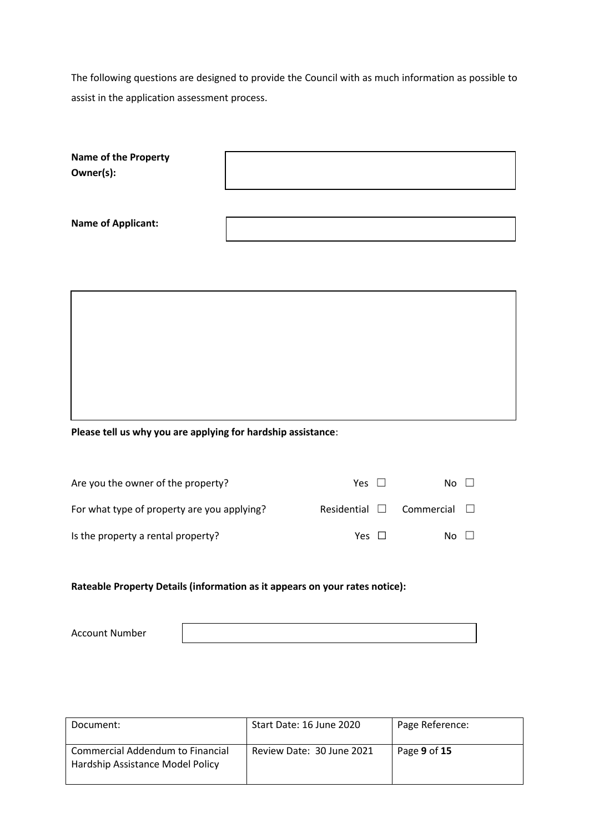The following questions are designed to provide the Council with as much information as possible to assist in the application assessment process.

| Name of the Property<br>Owner(s):                            |  |  |
|--------------------------------------------------------------|--|--|
| <b>Name of Applicant:</b>                                    |  |  |
|                                                              |  |  |
|                                                              |  |  |
|                                                              |  |  |
|                                                              |  |  |
| Please tell us why you are applying for hardship assistance: |  |  |
|                                                              |  |  |

| Are you the owner of the property?          | Yes II             | No l              |
|---------------------------------------------|--------------------|-------------------|
| For what type of property are you applying? | Residential $\Box$ | Commercial $\Box$ |
| Is the property a rental property?          | Yes II             | No L              |

### **Rateable Property Details (information as it appears on your rates notice):**

Account Number

| Document:                                                            | Start Date: 16 June 2020  | Page Reference: |
|----------------------------------------------------------------------|---------------------------|-----------------|
| Commercial Addendum to Financial<br>Hardship Assistance Model Policy | Review Date: 30 June 2021 | Page 9 of 15    |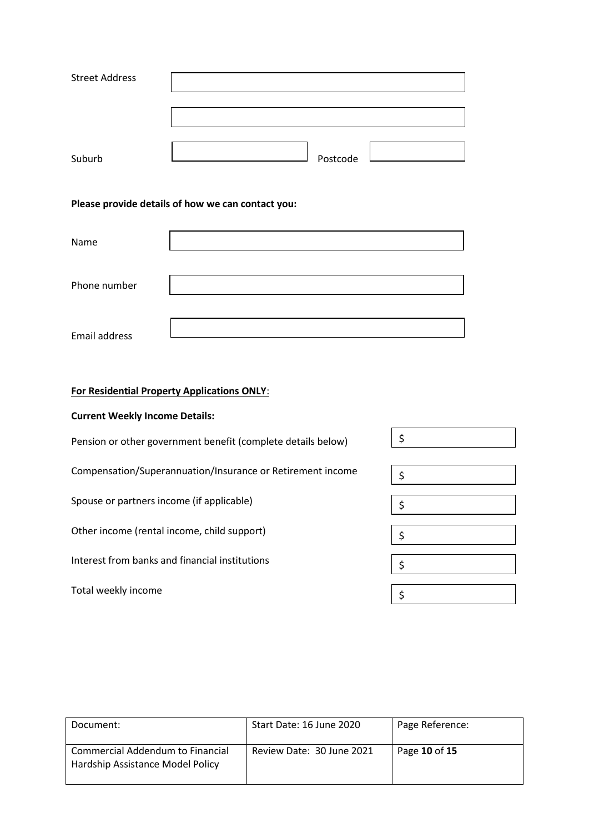| <b>Street Address</b> |          |
|-----------------------|----------|
|                       |          |
|                       |          |
|                       |          |
| Suburb                | Postcode |

#### **Please provide details of how we can contact you:**

| Name          |  |
|---------------|--|
|               |  |
| Phone number  |  |
|               |  |
| Email address |  |

### **For Residential Property Applications ONLY**:

#### **Current Weekly Income Details:**

| Pension or other government benefit (complete details below) | Ś. |
|--------------------------------------------------------------|----|
| Compensation/Superannuation/Insurance or Retirement income   |    |
| Spouse or partners income (if applicable)                    | \$ |
| Other income (rental income, child support)                  |    |
| Interest from banks and financial institutions               | Ś  |
| Total weekly income                                          |    |

| Document:                                                            | Start Date: 16 June 2020  | Page Reference: |
|----------------------------------------------------------------------|---------------------------|-----------------|
| Commercial Addendum to Financial<br>Hardship Assistance Model Policy | Review Date: 30 June 2021 | Page 10 of 15   |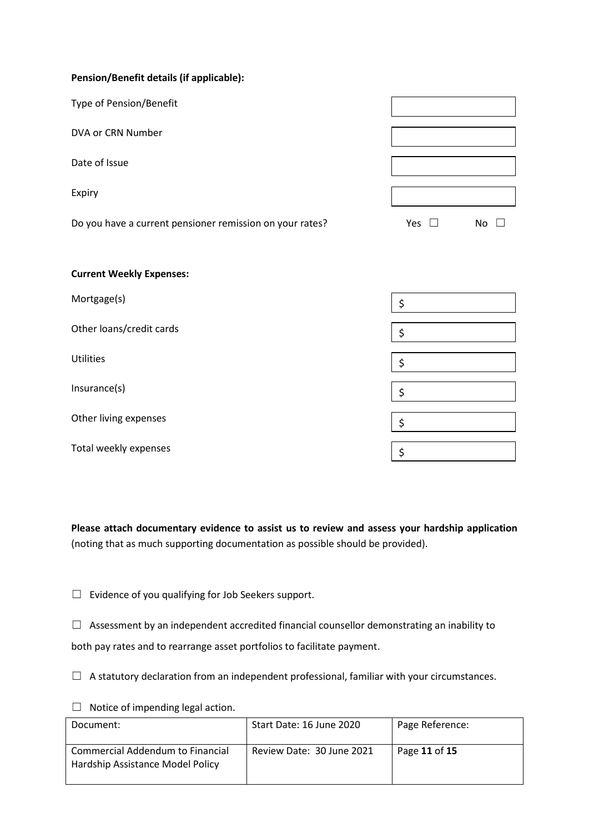| Pension/Benefit details (if applicable):                 |               |     |
|----------------------------------------------------------|---------------|-----|
| Type of Pension/Benefit                                  |               |     |
| DVA or CRN Number                                        |               |     |
| Date of Issue                                            |               |     |
| Expiry                                                   |               |     |
| Do you have a current pensioner remission on your rates? | Yes $\square$ | No. |
|                                                          |               |     |

| Mortgage(s)              | \$ |
|--------------------------|----|
| Other loans/credit cards | \$ |
| <b>Utilities</b>         | \$ |
| Insurance(s)             | \$ |
| Other living expenses    | Ś, |
| Total weekly expenses    | \$ |

**Please attach documentary evidence to assist us to review and assess your hardship application** (noting that as much supporting documentation as possible should be provided).

☐ Evidence of you qualifying for Job Seekers support.

□ Assessment by an independent accredited financial counsellor demonstrating an inability to both pay rates and to rearrange asset portfolios to facilitate payment.

 $\Box$  A statutory declaration from an independent professional, familiar with your circumstances.

 $\Box$  Notice of impending legal action.

**Current Weekly Expenses:**

| Document:                                                            | Start Date: 16 June 2020  | Page Reference: |
|----------------------------------------------------------------------|---------------------------|-----------------|
| Commercial Addendum to Financial<br>Hardship Assistance Model Policy | Review Date: 30 June 2021 | Page 11 of 15   |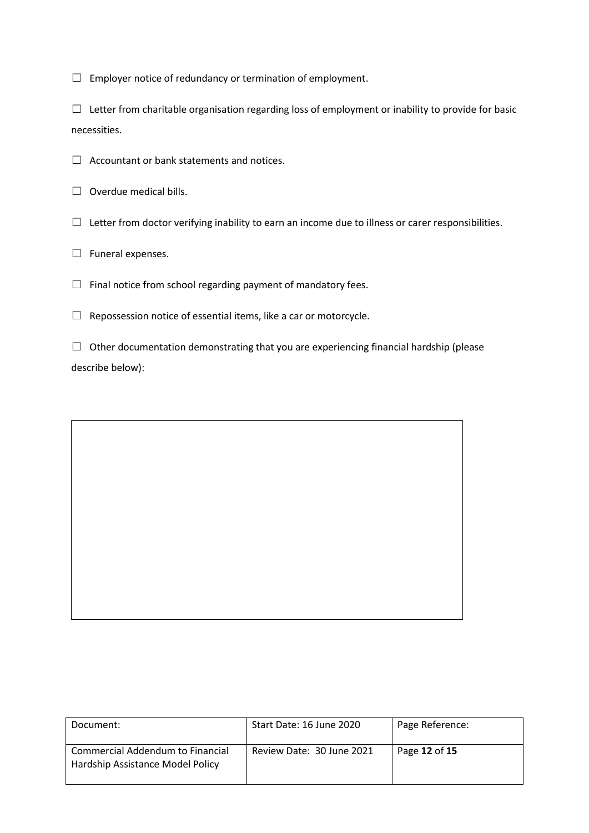$\Box$  Employer notice of redundancy or termination of employment.

☐ Letter from charitable organisation regarding loss of employment or inability to provide for basic necessities.

- ☐ Accountant or bank statements and notices.
- $\Box$  Overdue medical bills.
- $\Box$  Letter from doctor verifying inability to earn an income due to illness or carer responsibilities.
- □ Funeral expenses.
- $\Box$  Final notice from school regarding payment of mandatory fees.
- $\Box$  Repossession notice of essential items, like a car or motorcycle.

 $\Box$  Other documentation demonstrating that you are experiencing financial hardship (please describe below):

| Document:                                                            | Start Date: 16 June 2020  | Page Reference: |
|----------------------------------------------------------------------|---------------------------|-----------------|
| Commercial Addendum to Financial<br>Hardship Assistance Model Policy | Review Date: 30 June 2021 | Page 12 of 15   |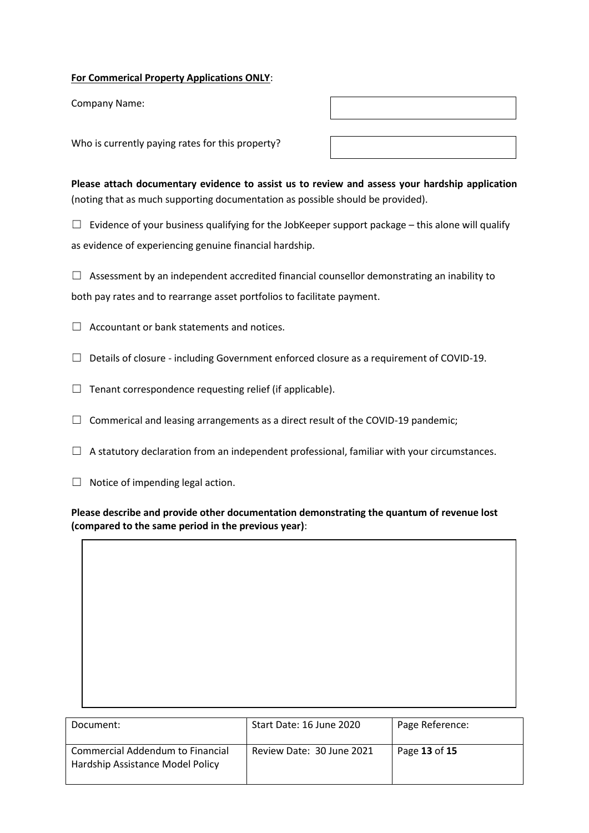#### **For Commerical Property Applications ONLY**:

Company Name:

Who is currently paying rates for this property?

**Please attach documentary evidence to assist us to review and assess your hardship application** (noting that as much supporting documentation as possible should be provided).

 $\Box$  Evidence of your business qualifying for the JobKeeper support package – this alone will qualify as evidence of experiencing genuine financial hardship.

 $\Box$  Assessment by an independent accredited financial counsellor demonstrating an inability to both pay rates and to rearrange asset portfolios to facilitate payment.

 $\Box$  Accountant or bank statements and notices.

- $\Box$  Details of closure including Government enforced closure as a requirement of COVID-19.
- $\Box$  Tenant correspondence requesting relief (if applicable).
- $\Box$  Commerical and leasing arrangements as a direct result of the COVID-19 pandemic;
- $\Box$  A statutory declaration from an independent professional, familiar with your circumstances.
- $\Box$  Notice of impending legal action.

**Please describe and provide other documentation demonstrating the quantum of revenue lost (compared to the same period in the previous year)**:

| Document:                                                            | Start Date: 16 June 2020  | Page Reference: |
|----------------------------------------------------------------------|---------------------------|-----------------|
| Commercial Addendum to Financial<br>Hardship Assistance Model Policy | Review Date: 30 June 2021 | Page 13 of 15   |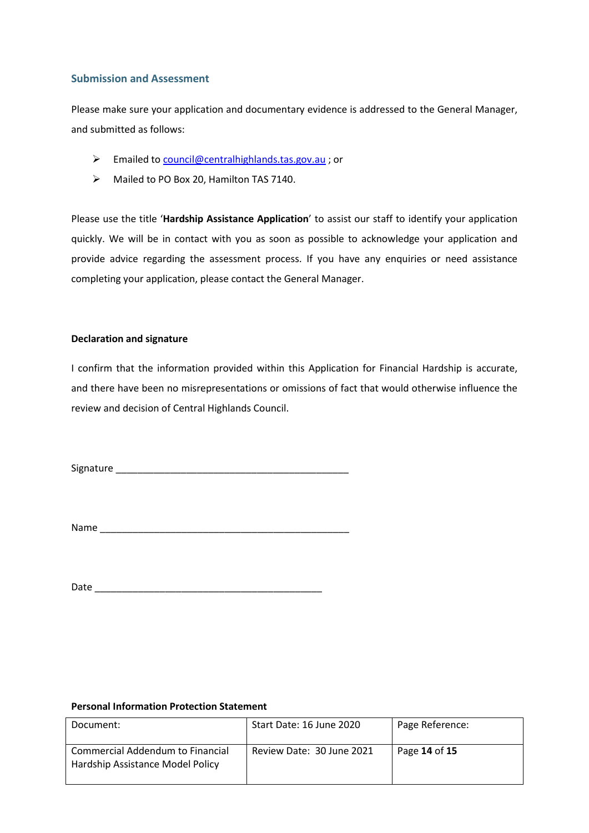#### **Submission and Assessment**

Please make sure your application and documentary evidence is addressed to the General Manager, and submitted as follows:

- Emailed to [council@centralhighlands.tas.gov.au](mailto:council@centralhighlands.tas.gov.au) ; or
- A Mailed to PO Box 20, Hamilton TAS 7140.

Please use the title '**Hardship Assistance Application**' to assist our staff to identify your application quickly. We will be in contact with you as soon as possible to acknowledge your application and provide advice regarding the assessment process. If you have any enquiries or need assistance completing your application, please contact the General Manager.

#### **Declaration and signature**

I confirm that the information provided within this Application for Financial Hardship is accurate, and there have been no misrepresentations or omissions of fact that would otherwise influence the review and decision of Central Highlands Council.

Signature \_\_\_\_\_\_\_\_\_\_\_\_\_\_\_\_\_\_\_\_\_\_\_\_\_\_\_\_\_\_\_\_\_\_\_\_\_\_\_\_\_\_\_

Name \_\_\_\_\_\_\_\_\_\_\_\_\_\_\_\_\_\_\_\_\_\_\_\_\_\_\_\_\_\_\_\_\_\_\_\_\_\_\_\_\_\_\_\_\_\_

Date \_\_\_\_\_\_\_\_\_\_\_\_\_\_\_\_\_\_\_\_\_\_\_\_\_\_\_\_\_\_\_\_\_\_\_\_\_\_\_\_\_\_

#### **Personal Information Protection Statement**

| Document:                                                            | Start Date: 16 June 2020  | Page Reference: |
|----------------------------------------------------------------------|---------------------------|-----------------|
| Commercial Addendum to Financial<br>Hardship Assistance Model Policy | Review Date: 30 June 2021 | Page 14 of 15   |